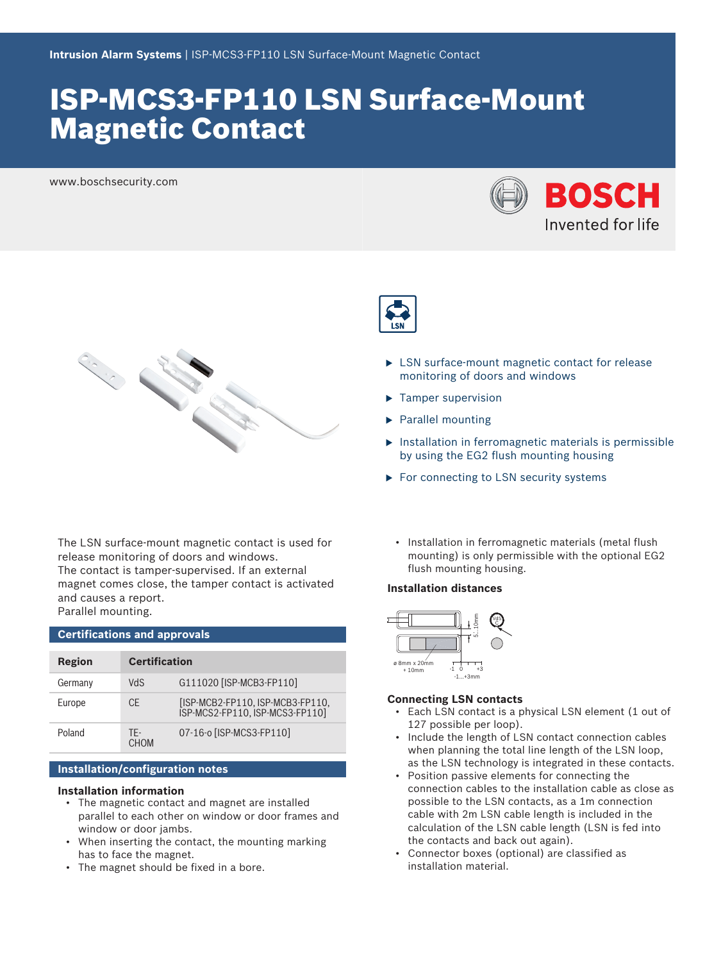# ISP-MCS3-FP110 LSN Surface-Mount Magnetic Contact

www.boschsecurity.com







| <b>Certifications and approvals</b> |                      |                                                                     |  |  |
|-------------------------------------|----------------------|---------------------------------------------------------------------|--|--|
|                                     |                      |                                                                     |  |  |
| Region                              | <b>Certification</b> |                                                                     |  |  |
| Germany                             | <b>VdS</b>           | G111020 [ISP-MCB3-FP110]                                            |  |  |
| Europe                              | CF                   | [ISP-MCB2-FP110, ISP-MCB3-FP110,<br>ISP-MCS2-FP110. ISP-MCS3-FP1101 |  |  |
| Poland                              | TF-<br>CHOM          | 07-16-o [ISP-MCS3-FP110]                                            |  |  |

### **Installation/configuration notes**

#### **Installation information**

- The magnetic contact and magnet are installed parallel to each other on window or door frames and window or door jambs.
- When inserting the contact, the mounting marking has to face the magnet.
- The magnet should be fixed in a bore.



- $\blacktriangleright$  LSN surface-mount magnetic contact for release monitoring of doors and windows
- $\blacktriangleright$  Tamper supervision
- $\blacktriangleright$  Parallel mounting
- $\triangleright$  Installation in ferromagnetic materials is permissible by using the EG2 flush mounting housing
- $\blacktriangleright$  For connecting to LSN security systems
	- Installation in ferromagnetic materials (metal flush mounting) is only permissible with the optional EG2 flush mounting housing.

### **Installation distances**



#### **Connecting LSN contacts**

- Each LSN contact is a physical LSN element (1 out of 127 possible per loop).
- Include the length of LSN contact connection cables when planning the total line length of the LSN loop, as the LSN technology is integrated in these contacts.
- Position passive elements for connecting the connection cables to the installation cable as close as possible to the LSN contacts, as a 1m connection cable with 2m LSN cable length is included in the calculation of the LSN cable length (LSN is fed into the contacts and back out again).
- Connector boxes (optional) are classified as installation material.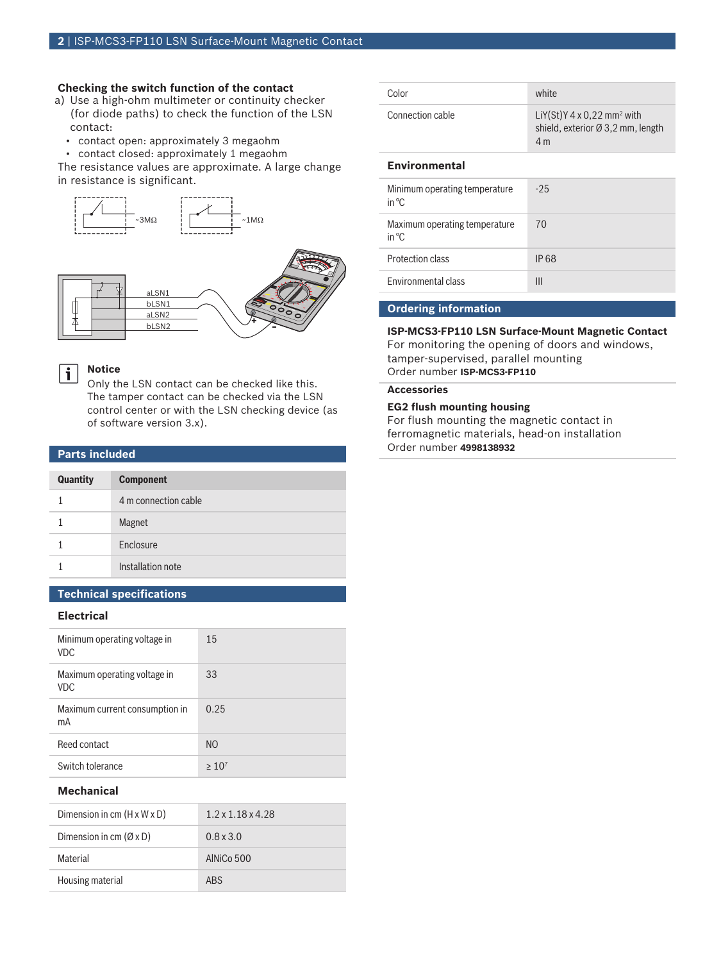# **Checking the switch function of the contact**

- a) Use a high-ohm multimeter or continuity checker (for diode paths) to check the function of the LSN contact:
	- contact open: approximately 3 megaohm
	- contact closed: approximately 1 megaohm

The resistance values are approximate. A large change in resistance is significant.



### **Notice**

i

Only the LSN contact can be checked like this. The tamper contact can be checked via the LSN control center or with the LSN checking device (as of software version 3.x).

| <b>Parts included</b> |                      |  |
|-----------------------|----------------------|--|
| <b>Quantity</b>       | <b>Component</b>     |  |
|                       | 4 m connection cable |  |
|                       | Magnet               |  |
|                       | Enclosure            |  |
|                       | Installation note    |  |

# **Technical specifications**

#### **Electrical**

| Minimum operating voltage in<br><b>VDC</b> | 15             |
|--------------------------------------------|----------------|
| Maximum operating voltage in<br><b>VDC</b> | 33             |
| Maximum current consumption in<br>mA       | 0.25           |
| Reed contact                               | N <sub>O</sub> |
| Switch tolerance                           | >10'           |

# **Mechanical**

| Dimension in cm $(H \times W \times D)$ | $1.2 \times 1.18 \times 4.28$ |
|-----------------------------------------|-------------------------------|
| Dimension in cm $(\emptyset \times D)$  | $0.8 \times 3.0$              |
| Material                                | AINiCo 500                    |
| Housing material                        | <b>ARS</b>                    |

| Color            | white                                                                                     |
|------------------|-------------------------------------------------------------------------------------------|
| Connection cable | LiY(St)Y $4 \times 0.22$ mm <sup>2</sup> with<br>shield, exterior Ø 3,2 mm, length<br>4 m |
|                  |                                                                                           |

# **Environmental**

| Minimum operating temperature<br>in ${}^{\circ}C$ | $-25$        |
|---------------------------------------------------|--------------|
| Maximum operating temperature<br>in ${}^{\circ}C$ | 70           |
| Protection class                                  | <b>IP 68</b> |
| <b>Environmental class</b>                        | III          |
|                                                   |              |

# **Ordering information**

# **ISP-MCS3-FP110 LSN Surface-Mount Magnetic Contact**

For monitoring the opening of doors and windows, tamper-supervised, parallel mounting Order number **ISP-MCS3-FP110**

### **Accessories**

#### **EG2 flush mounting housing**

For flush mounting the magnetic contact in ferromagnetic materials, head-on installation Order number **4998138932**